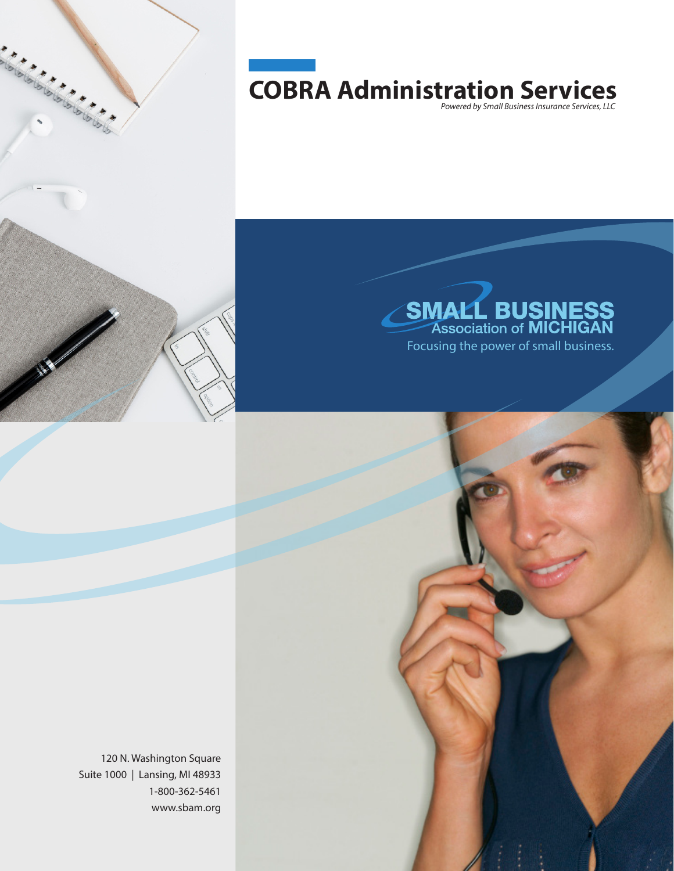

# **COBRA Administration Services**  *Powered by Small Business Insurance Services, LLC*



120 N. Washington Square Suite 1000 | Lansing, MI 48933 1-800-362-5461 www.sbam.org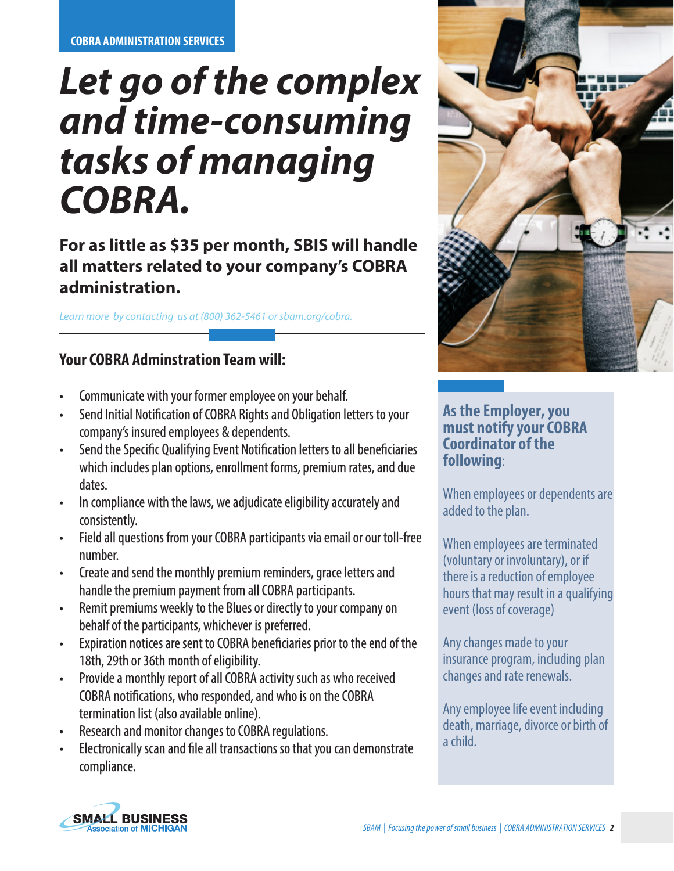# *Let go of the complex and time-consuming tasks of managing COBRA.*

## **For as little as \$35 per month, SBIS will handle all matters related to your company's COBRA administration.**

*Learn more by contacting us at (800) 362-5461 or sbam.org/cobra.* 

## **Your COBRA Adminstration Team will:**

- Communicate with your former employee on your behalf.
- Send Initial Notification of COBRA Rights and Obligation letters to your company's insured employees & dependents.
- Send the Specific Qualifying Event Notification letters to all beneficiaries which includes plan options, enrollment forms, premium rates, and due dates.
- In compliance with the laws, we adjudicate eligibility accurately and consistently.
- Field all questions from your COBRA participants via email or our toll-free number.
- Create and send the monthly premium reminders, grace letters and handle the premium payment from all COBRA participants.
- Remit premiums weekly to the Blues or directly to your company on behalf of the participants, whichever is preferred.
- Expiration notices are sent to COBRA beneficiaries prior to the end of the 18th, 29th or 36th month of eligibility.
- Provide a monthly report of all COBRA activity such as who received COBRA notifications, who responded, and who is on the COBRA termination list (also available online).
- Research and monitor changes to COBRA regulations.
- Electronically scan and file all transactions so that you can demonstrate compliance.



#### **As the Employer, you must notify your COBRA Coordinator of the following**:

When employees or dependents are added to the plan.

When employees are terminated (voluntary or involuntary), or if there is a reduction of employee hours that may result in a qualifying event (loss of coverage)

Any changes made to your insurance program, including plan changes and rate renewals.

Any employee life event including death, marriage, divorce or birth of a child.